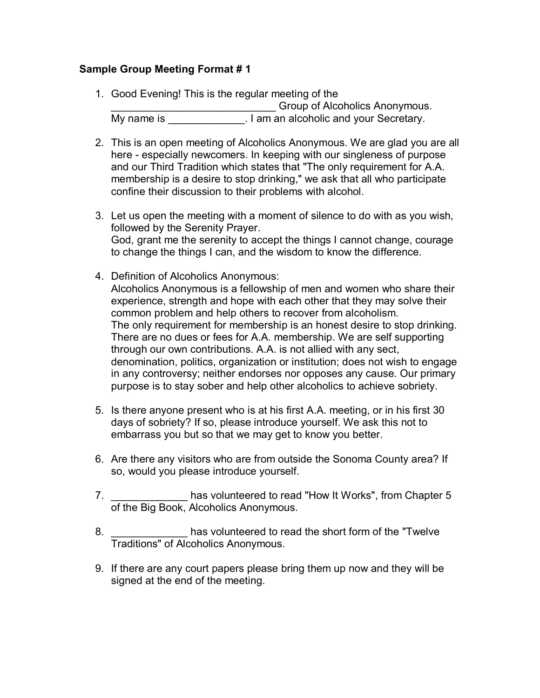## **Sample Group Meeting Format # 1**

- 1. Good Evening! This is the regular meeting of the **EXECUTE:** Group of Alcoholics Anonymous. My name is **I am** an alcoholic and your Secretary.
- 2. This is an open meeting of Alcoholics Anonymous. We are glad you are all here - especially newcomers. In keeping with our singleness of purpose and our Third Tradition which states that "The only requirement for A.A. membership is a desire to stop drinking," we ask that all who participate confine their discussion to their problems with alcohol.
- 3. Let us open the meeting with a moment of silence to do with as you wish, followed by the Serenity Prayer. God, grant me the serenity to accept the things I cannot change, courage to change the things I can, and the wisdom to know the difference.
- 4. Definition of Alcoholics Anonymous: Alcoholics Anonymous is a fellowship of men and women who share their experience, strength and hope with each other that they may solve their common problem and help others to recover from alcoholism. The only requirement for membership is an honest desire to stop drinking. There are no dues or fees for A.A. membership. We are self supporting through our own contributions. A.A. is not allied with any sect, denomination, politics, organization or institution; does not wish to engage in any controversy; neither endorses nor opposes any cause. Our primary purpose is to stay sober and help other alcoholics to achieve sobriety.
- 5. Is there anyone present who is at his first A.A. meeting, or in his first 30 days of sobriety? If so, please introduce yourself. We ask this not to embarrass you but so that we may get to know you better.
- 6. Are there any visitors who are from outside the Sonoma County area? If so, would you please introduce yourself.
- 7. This is allowed to read "How It Works", from Chapter 5 of the Big Book, Alcoholics Anonymous.
- 8. \_\_\_\_\_\_\_\_\_\_\_\_\_\_\_\_\_ has volunteered to read the short form of the "Twelve Traditions" of Alcoholics Anonymous.
- 9. If there are any court papers please bring them up now and they will be signed at the end of the meeting.